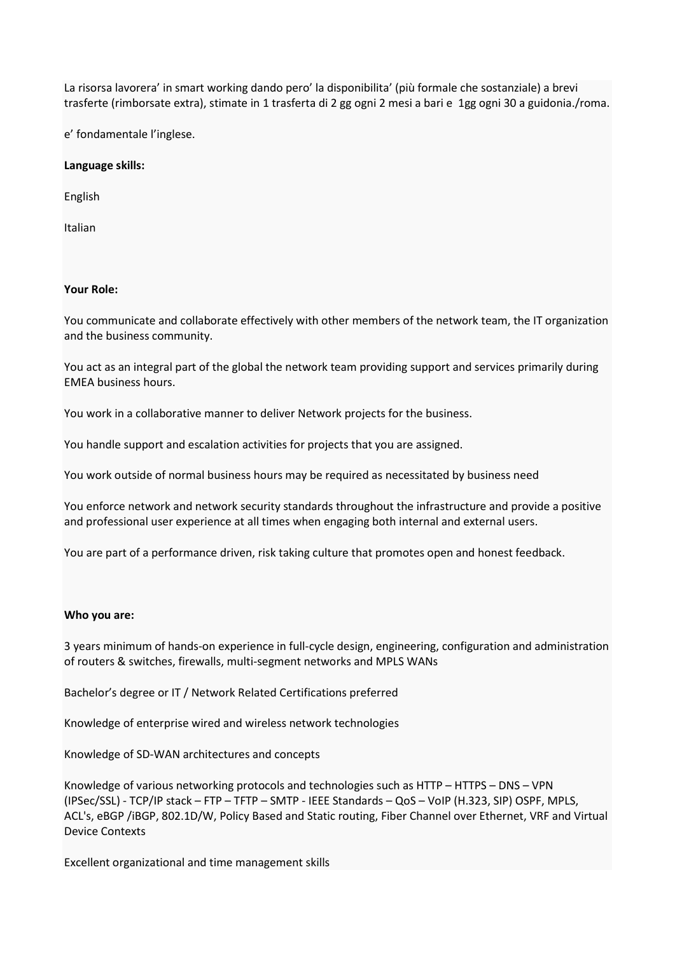La risorsa lavorera' in smart working dando pero' la disponibilita' (più formale che sostanziale) a brevi trasferte (rimborsate extra), stimate in 1 trasferta di 2 gg ogni 2 mesi a bari e 1gg ogni 30 a guidonia./roma.

e' fondamentale l'inglese.

## Language skills:

English

Italian

## Your Role:

You communicate and collaborate effectively with other members of the network team, the IT organization and the business community.

You act as an integral part of the global the network team providing support and services primarily during EMEA business hours.

You work in a collaborative manner to deliver Network projects for the business.

You handle support and escalation activities for projects that you are assigned.

You work outside of normal business hours may be required as necessitated by business need

You enforce network and network security standards throughout the infrastructure and provide a positive and professional user experience at all times when engaging both internal and external users.

You are part of a performance driven, risk taking culture that promotes open and honest feedback.

## Who you are:

3 years minimum of hands-on experience in full-cycle design, engineering, configuration and administration of routers & switches, firewalls, multi-segment networks and MPLS WANs

Bachelor's degree or IT / Network Related Certifications preferred

Knowledge of enterprise wired and wireless network technologies

Knowledge of SD-WAN architectures and concepts

Knowledge of various networking protocols and technologies such as HTTP – HTTPS – DNS – VPN (IPSec/SSL) - TCP/IP stack – FTP – TFTP – SMTP - IEEE Standards – QoS – VoIP (H.323, SIP) OSPF, MPLS, ACL's, eBGP /iBGP, 802.1D/W, Policy Based and Static routing, Fiber Channel over Ethernet, VRF and Virtual Device Contexts

Excellent organizational and time management skills